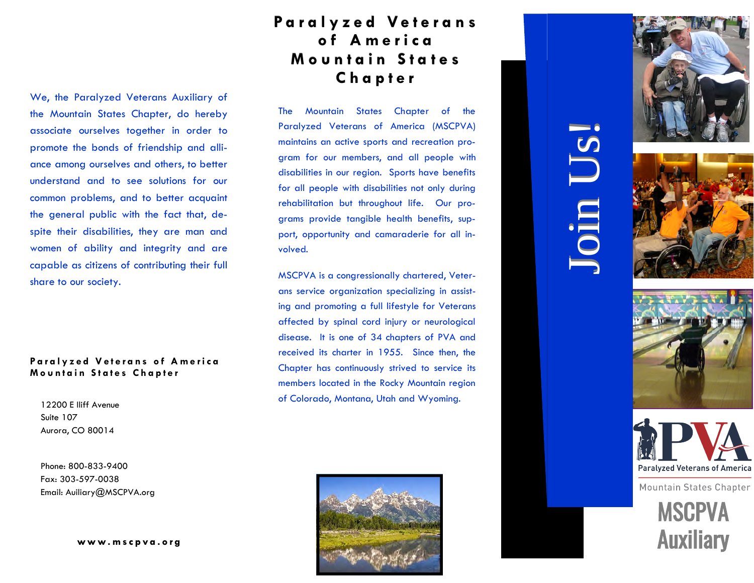#### **P a r a l y z e d V e t e r a n s P a r a l y z e d V e t e r a n s o f A m e r i c a o f e r i c a M o u n t a i n S t a t e s M o u n t a i n S t a t e s C h a p t e r C h a p t e r**

We, the Paralyzed Veterans Auxiliary of the Mountain States Chapter, do hereby associate ourselves together in order to promote the bonds of friendship and alliance among ourselves and others, to better understand and to see solutions for our common problems, and to better acquaint the general public with the fact that, despite their disabilities, they are man and women of ability and integrity and are capable as citizens of contributing their full share to our society.

#### Paralyzed Veterans of America **Mountain States Chapter**

12200 E Iliff Avenue Suite 107 Aurora, CO 80014

Phone: 800-833-9400 Fax: 303-597-0038 Email: [Auiliary@MSCPVA](mailto:auxiliary@mscpva.org?cc=admin@mscpva.org&subject=Auxiliary%20Questions).org

**w w w . w w w . m s c p v a . o r g m s c p v a . o r g**

The Mountain States Chapter of the Paralyzed Veterans of America (MSCPVA) maintains an active sports and recreation program for our members, and all people with disabilities in our region. Sports have benefits for all people with disabilities not only during rehabilitation but throughout life. Our programs provide tangible health benefits, support, opportunity and camaraderie for all involved.

MSCPVA is a congressionally chartered, Veterans service organization specializing in assisting and promoting a full lifestyle for Veterans affected by spinal cord injury or neurological disease. It is one of 34 chapters of PVA and received its charter in 1955. Since then, the Chapter has continuously strived to service its members located in the Rocky Mountain region of Colorado, Montana, Utah and Wyoming.











**Mountain States Chapter**